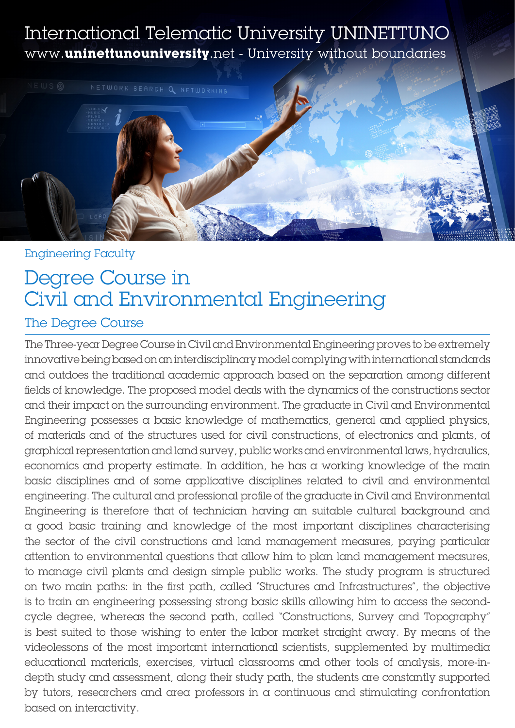## International Telematic University UNINETTUNO www.**uninettunouniversity**.net - University without boundaries



### Engineering Faculty

# Degree Course in Civil and Environmental Engineering

### The Degree Course

The Three-year Degree Course in Civil and Environmental Engineering proves to be extremely innovative being based on an interdisciplinary model complying with international standards and outdoes the traditional academic approach based on the separation among different fields of knowledge. The proposed model deals with the dynamics of the constructions sector and their impact on the surrounding environment. The graduate in Civil and Environmental Engineering possesses a basic knowledge of mathematics, general and applied physics, of materials and of the structures used for civil constructions, of electronics and plants, of graphical representation and land survey, public works and environmental laws, hydraulics, economics and property estimate. In addition, he has a working knowledge of the main basic disciplines and of some applicative disciplines related to civil and environmental engineering. The cultural and professional profile of the graduate in Civil and Environmental Engineering is therefore that of technician having an suitable cultural background and a good basic training and knowledge of the most important disciplines characterising the sector of the civil constructions and land management measures, paying particular attention to environmental questions that allow him to plan land management measures, to manage civil plants and design simple public works. The study program is structured on two main paths: in the first path, called "Structures and Infrastructures", the objective is to train an engineering possessing strong basic skills allowing him to access the secondcycle degree, whereas the second path, called "Constructions, Survey and Topography" is best suited to those wishing to enter the labor market straight away. By means of the videolessons of the most important international scientists, supplemented by multimedia educational materials, exercises, virtual classrooms and other tools of analysis, more-indepth study and assessment, along their study path, the students are constantly supported by tutors, researchers and area professors in a continuous and stimulating confrontation based on interactivity.